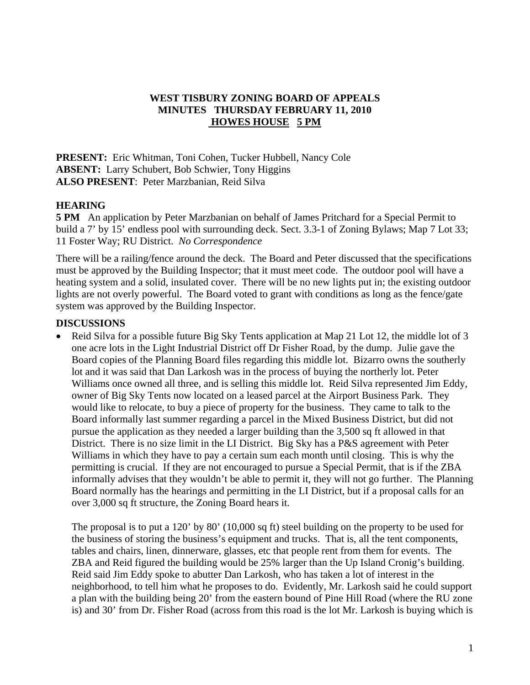## **WEST TISBURY ZONING BOARD OF APPEALS MINUTES THURSDAY FEBRUARY 11, 2010 HOWES HOUSE 5 PM**

**PRESENT:** Eric Whitman, Toni Cohen, Tucker Hubbell, Nancy Cole **ABSENT:** Larry Schubert, Bob Schwier, Tony Higgins **ALSO PRESENT**: Peter Marzbanian, Reid Silva

## **HEARING**

**5 PM** An application by Peter Marzbanian on behalf of James Pritchard for a Special Permit to build a 7' by 15' endless pool with surrounding deck. Sect. 3.3-1 of Zoning Bylaws; Map 7 Lot 33; 11 Foster Way; RU District. *No Correspondence* 

There will be a railing/fence around the deck. The Board and Peter discussed that the specifications must be approved by the Building Inspector; that it must meet code. The outdoor pool will have a heating system and a solid, insulated cover. There will be no new lights put in; the existing outdoor lights are not overly powerful. The Board voted to grant with conditions as long as the fence/gate system was approved by the Building Inspector.

## **DISCUSSIONS**

• Reid Silva for a possible future Big Sky Tents application at Map 21 Lot 12, the middle lot of 3 one acre lots in the Light Industrial District off Dr Fisher Road, by the dump. Julie gave the Board copies of the Planning Board files regarding this middle lot. Bizarro owns the southerly lot and it was said that Dan Larkosh was in the process of buying the northerly lot. Peter Williams once owned all three, and is selling this middle lot. Reid Silva represented Jim Eddy, owner of Big Sky Tents now located on a leased parcel at the Airport Business Park. They would like to relocate, to buy a piece of property for the business. They came to talk to the Board informally last summer regarding a parcel in the Mixed Business District, but did not pursue the application as they needed a larger building than the 3,500 sq ft allowed in that District. There is no size limit in the LI District. Big Sky has a P&S agreement with Peter Williams in which they have to pay a certain sum each month until closing. This is why the permitting is crucial. If they are not encouraged to pursue a Special Permit, that is if the ZBA informally advises that they wouldn't be able to permit it, they will not go further. The Planning Board normally has the hearings and permitting in the LI District, but if a proposal calls for an over 3,000 sq ft structure, the Zoning Board hears it.

The proposal is to put a 120' by 80' (10,000 sq ft) steel building on the property to be used for the business of storing the business's equipment and trucks. That is, all the tent components, tables and chairs, linen, dinnerware, glasses, etc that people rent from them for events. The ZBA and Reid figured the building would be 25% larger than the Up Island Cronig's building. Reid said Jim Eddy spoke to abutter Dan Larkosh, who has taken a lot of interest in the neighborhood, to tell him what he proposes to do. Evidently, Mr. Larkosh said he could support a plan with the building being 20' from the eastern bound of Pine Hill Road (where the RU zone is) and 30' from Dr. Fisher Road (across from this road is the lot Mr. Larkosh is buying which is